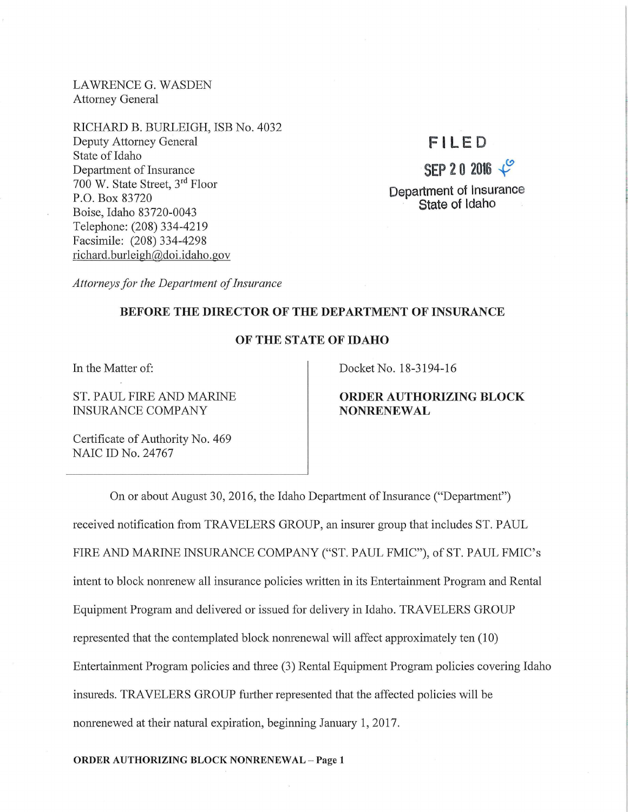LAWRENCEG. WASDEN Attorney General

RICHARD B. BURLEIGH, ISB No. 4032 Deputy Attorney General State of Idaho Department of Insurance 700 W. State Street, 3rd Floor P.O. Box 83720 Boise, Idaho 83720-0043 Telephone: (208) 334-4219 Facsimile: (208) 334-4298 richard. burleigh@doi.idaho.gov

# **F I LED**

**SEP 2 0 2016**  $\sqrt{2}$ Department of Insurance

State of Idaho

*Attorneys for the Department of Insurance* 

### BEFORE THE DIRECTOR OF THE DEPARTMENT OF INSURANCE

## OF THE STATE OF IDAHO

In the Matter of:

ST. PAUL FIRE AND MARINE INSURANCE COMPANY

Docket No. 18-3194-16

## ORDER AUTHORIZING BLOCK NONRENEWAL

Certificate of Authority No. 469 NAIC ID No. 24767

On or about August 30, 2016, the Idaho Department of Insurance ("Department") received notification from TRAVELERS GROUP, an insurer group that includes ST. PAUL FIRE AND MARINE INSURANCE COMPANY ("ST. PAUL FMIC"), of ST. PAUL FMIC's intent to block nomenew all insurance policies written in its Entertainment Program and Rental Equipment Program and delivered or issued for delivery in Idaho.TRAVELERS GROUP represented that the contemplated block nomenewal will affect approximately ten (10) Entertainment Program policies and three (3) Rental Equipment Program policies covering Idaho insureds. TRAVELERS GROUP further represented that the affected policies will be nomenewed at their natural expiration, beginning January 1, 2017.

ORDER AUTHORIZING BLOCK NONRENEWAL - Page 1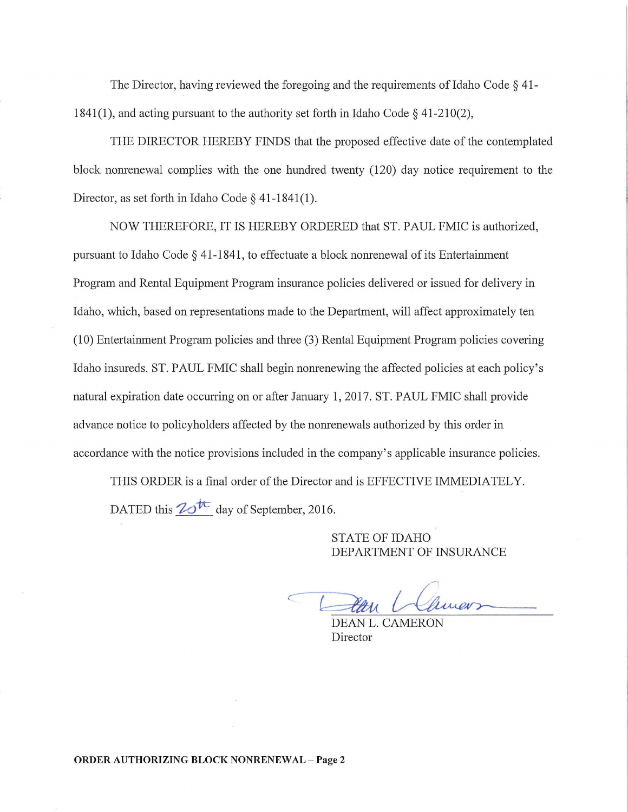The Director, having reviewed the foregoing and the requirements of Idaho Code § 41- 1841(1), and acting pursuant to the authority set forth in Idaho Code  $\S$  41-210(2),

THE DIRECTOR HEREBY FINDS that the proposed effective date of the contemplated block nonrenewal complies with the one hundred twenty (120) day notice requirement to the Director, as set forth in Idaho Code  $\S$  41-1841(1).

NOW THEREFORE, IT IS HEREBY ORDERED that ST. PAUL FMIC is authorized, pursuant to Idaho Code  $\S$  41-1841, to effectuate a block nonrenewal of its Entertainment Program and Rental Equipment Program insurance policies delivered or issued for delivery in Idaho, which, based on representations made to the Department, will affect approximately ten  $(10)$  Entertainment Program policies and three  $(3)$  Rental Equipment Program policies covering Idaho insureds. ST. PAUL FMIC shall begin nonrenewing the affected policies at each policy's natural expiration date occurring on or after January 1, 2017. ST. PAUL FMIC shall provide advance notice to policyholders affected by the nonrenewals authorized by this order in accordance with the notice provisions included in the company's applicable insurance policies.

THIS ORDER is a final order of the Director and is EFFECTIVE IMMEDIATELY. DATED this  $\mathbb{Z}^{\mathbb{Z}^+}$  day of September, 2016.

> STATE OF IDAHO DEPARTMENT OF INSURANCE

Han Climers

Director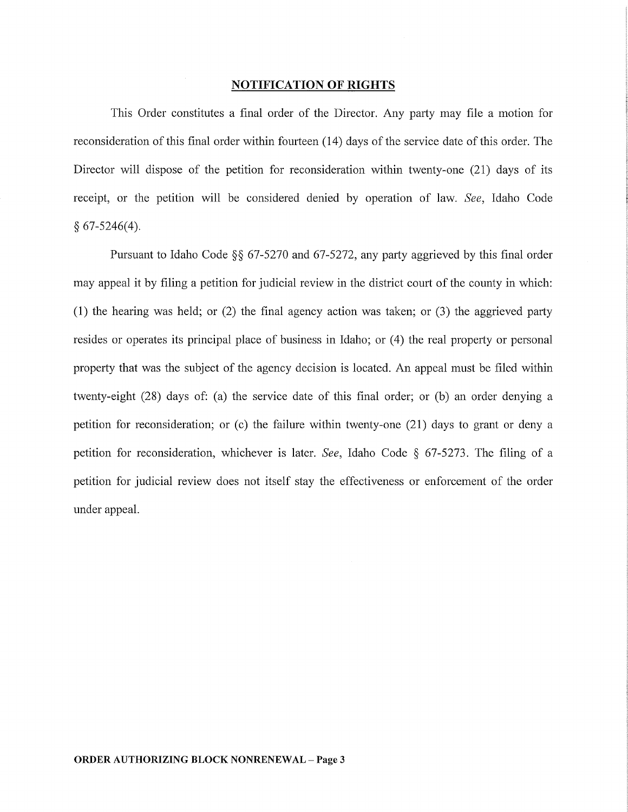#### NOTIFICATION **OF RIGHTS**

This Order constitutes a final order of the Director. Any party may file a motion for reconsideration of this final order within fourteen (14) days of the service date of this order. The Director will dispose of the petition for reconsideration within twenty-one (21) days of its receipt, or the petition will be considered denied by operation of law. *See,* Idaho Code  $§ 67-5246(4).$ 

Pursuant to Idaho Code  $\S$ § 67-5270 and 67-5272, any party aggrieved by this final order may appeal it by filing a petition for judicial review in the district court of the county in which: (1) the hearing was held; or (2) the final agency action was taken; or (3) the aggrieved party resides or operates its principal place of business in Idaho; or (4) the real property or personal property that was the subject of the agency decision is located. An appeal must be filed within twenty-eight (28) days of: (a) the service date of this final order; or (b) an order denying a petition for reconsideration; or (c) the failure within twenty-one (21) days to grant or deny a petition for reconsideration, whichever is later. *See,* Idaho Code § 67-5273. The filing of a petition for judicial review does not itself stay the effectiveness or enforcement of the order under appeal.